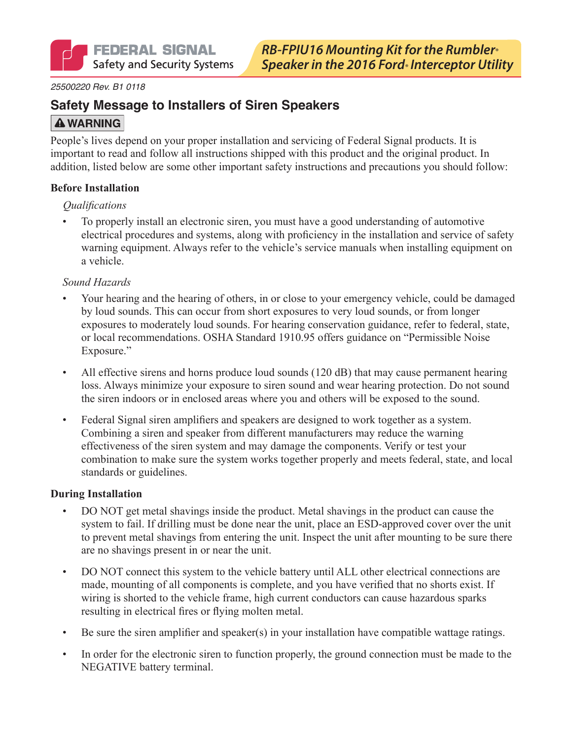#### *25500220 Rev. B1 0118*

## **Safety Message to Installers of Siren Speakers**

## **A WARNING**

People's lives depend on your proper installation and servicing of Federal Signal products. It is important to read and follow all instructions shipped with this product and the original product. In addition, listed below are some other important safety instructions and precautions you should follow:

#### **Before Installation**

#### *Qualifications*

• To properly install an electronic siren, you must have a good understanding of automotive electrical procedures and systems, along with proficiency in the installation and service of safety warning equipment. Always refer to the vehicle's service manuals when installing equipment on a vehicle.

#### *Sound Hazards*

- Your hearing and the hearing of others, in or close to your emergency vehicle, could be damaged by loud sounds. This can occur from short exposures to very loud sounds, or from longer exposures to moderately loud sounds. For hearing conservation guidance, refer to federal, state, or local recommendations. OSHA Standard 1910.95 offers guidance on "Permissible Noise Exposure."
- All effective sirens and horns produce loud sounds (120 dB) that may cause permanent hearing loss. Always minimize your exposure to siren sound and wear hearing protection. Do not sound the siren indoors or in enclosed areas where you and others will be exposed to the sound.
- Federal Signal siren amplifiers and speakers are designed to work together as a system. Combining a siren and speaker from different manufacturers may reduce the warning effectiveness of the siren system and may damage the components. Verify or test your combination to make sure the system works together properly and meets federal, state, and local standards or guidelines.

#### **During Installation**

- DO NOT get metal shavings inside the product. Metal shavings in the product can cause the system to fail. If drilling must be done near the unit, place an ESD-approved cover over the unit to prevent metal shavings from entering the unit. Inspect the unit after mounting to be sure there are no shavings present in or near the unit.
- DO NOT connect this system to the vehicle battery until ALL other electrical connections are made, mounting of all components is complete, and you have verified that no shorts exist. If wiring is shorted to the vehicle frame, high current conductors can cause hazardous sparks resulting in electrical fires or flying molten metal.
- Be sure the siren amplifier and speaker(s) in your installation have compatible wattage ratings.
- In order for the electronic siren to function properly, the ground connection must be made to the NEGATIVE battery terminal.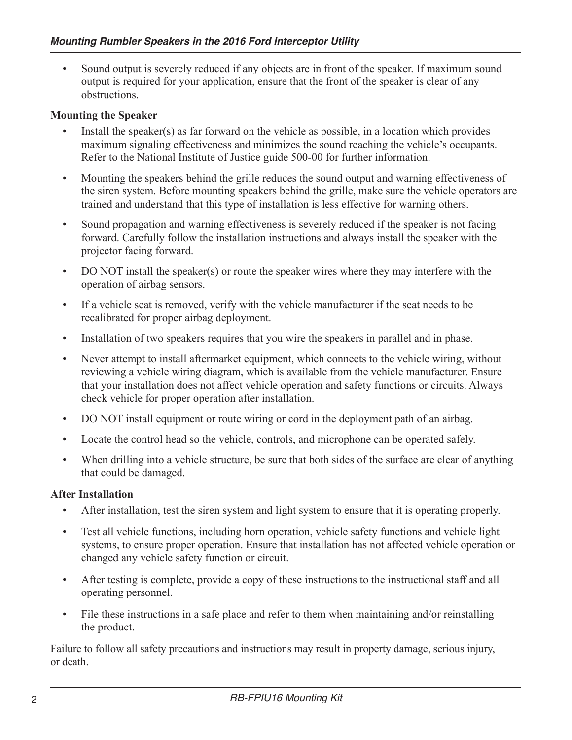• Sound output is severely reduced if any objects are in front of the speaker. If maximum sound output is required for your application, ensure that the front of the speaker is clear of any obstructions.

### **Mounting the Speaker**

- Install the speaker(s) as far forward on the vehicle as possible, in a location which provides maximum signaling effectiveness and minimizes the sound reaching the vehicle's occupants. Refer to the National Institute of Justice guide 500-00 for further information.
- Mounting the speakers behind the grille reduces the sound output and warning effectiveness of the siren system. Before mounting speakers behind the grille, make sure the vehicle operators are trained and understand that this type of installation is less effective for warning others.
- Sound propagation and warning effectiveness is severely reduced if the speaker is not facing forward. Carefully follow the installation instructions and always install the speaker with the projector facing forward.
- DO NOT install the speaker(s) or route the speaker wires where they may interfere with the operation of airbag sensors.
- If a vehicle seat is removed, verify with the vehicle manufacturer if the seat needs to be recalibrated for proper airbag deployment.
- Installation of two speakers requires that you wire the speakers in parallel and in phase.
- Never attempt to install aftermarket equipment, which connects to the vehicle wiring, without reviewing a vehicle wiring diagram, which is available from the vehicle manufacturer. Ensure that your installation does not affect vehicle operation and safety functions or circuits. Always check vehicle for proper operation after installation.
- DO NOT install equipment or route wiring or cord in the deployment path of an airbag.
- Locate the control head so the vehicle, controls, and microphone can be operated safely.
- When drilling into a vehicle structure, be sure that both sides of the surface are clear of anything that could be damaged.

### **After Installation**

- After installation, test the siren system and light system to ensure that it is operating properly.
- Test all vehicle functions, including horn operation, vehicle safety functions and vehicle light systems, to ensure proper operation. Ensure that installation has not affected vehicle operation or changed any vehicle safety function or circuit.
- After testing is complete, provide a copy of these instructions to the instructional staff and all operating personnel.
- File these instructions in a safe place and refer to them when maintaining and/or reinstalling the product.

Failure to follow all safety precautions and instructions may result in property damage, serious injury, or death.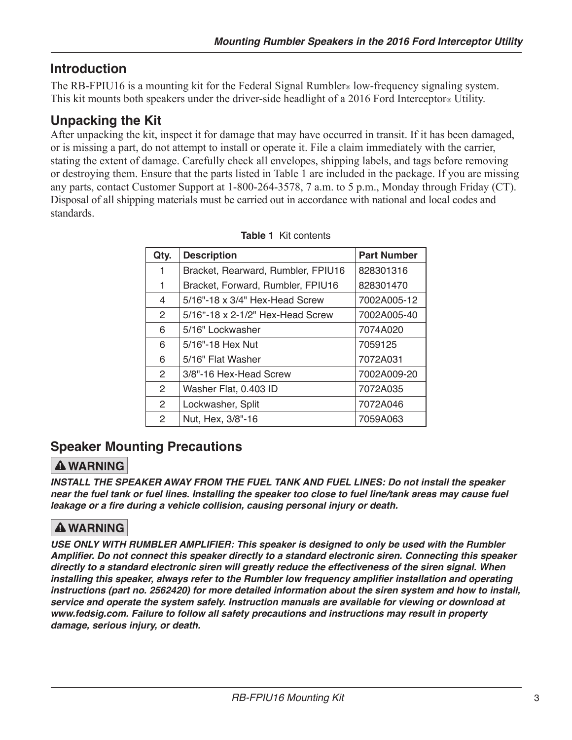# **Introduction**

The RB-FPIU16 is a mounting kit for the Federal Signal Rumbler® low-frequency signaling system. This kit mounts both speakers under the driver-side headlight of a 2016 Ford Interceptor<sup>®</sup> Utility.

# **Unpacking the Kit**

After unpacking the kit, inspect it for damage that may have occurred in transit. If it has been damaged, or is missing a part, do not attempt to install or operate it. File a claim immediately with the carrier, stating the extent of damage. Carefully check all envelopes, shipping labels, and tags before removing or destroying them. Ensure that the parts listed in Table 1 are included in the package. If you are missing any parts, contact Customer Support at 1-800-264-3578, 7 a.m. to 5 p.m., Monday through Friday (CT). Disposal of all shipping materials must be carried out in accordance with national and local codes and standards.

| Qty.           | <b>Description</b>                 | <b>Part Number</b> |
|----------------|------------------------------------|--------------------|
| 1              | Bracket, Rearward, Rumbler, FPIU16 | 828301316          |
| 1              | Bracket, Forward, Rumbler, FPIU16  | 828301470          |
| 4              | 5/16"-18 x 3/4" Hex-Head Screw     | 7002A005-12        |
| 2              | 5/16"-18 x 2-1/2" Hex-Head Screw   | 7002A005-40        |
| 6              | 5/16" Lockwasher                   | 7074A020           |
| 6              | 5/16"-18 Hex Nut                   | 7059125            |
| 6              | 5/16" Flat Washer                  | 7072A031           |
| 2              | 3/8"-16 Hex-Head Screw             | 7002A009-20        |
| $\overline{2}$ | Washer Flat, 0.403 ID              | 7072A035           |
| $\overline{2}$ | Lockwasher, Split                  | 7072A046           |
| 2              | Nut, Hex, 3/8"-16                  | 7059A063           |

#### **Table 1** Kit contents

# **Speaker Mounting Precautions**

# **A WARNING**

*INSTALL THE SPEAKER AWAY FROM THE FUEL TANK AND FUEL LINES: Do not install the speaker near the fuel tank or fuel lines. Installing the speaker too close to fuel line/tank areas may cause fuel*  **leakage or a fire during a vehicle collision, causing personal injury or death.**

# **A WARNING**

**USE ONLY WITH RUMBLER AMPLIFIER: This speaker is designed to only be used with the Rumbler Amplifier. Do not connect this speaker directly to a standard electronic siren. Connecting this speaker directly to a standard electronic siren will greatly reduce the effectiveness of the siren signal. When installing this speaker, always refer to the Rumbler low frequency amplifier installation and operating instructions (part no. 2562420) for more detailed information about the siren system and how to install, service and operate the system safely. Instruction manuals are available for viewing or download at www.fedsig.com. Failure to follow all safety precautions and instructions may result in property damage, serious injury, or death.**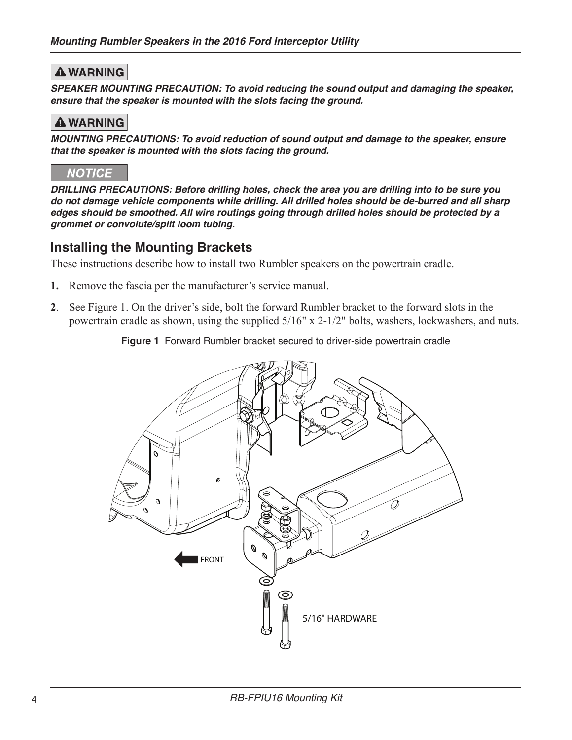## **A WARNING**

**SPEAKER MOUNTING PRECAUTION: To avoid reducing the sound output and damaging the speaker, ensure that the speaker is mounted with the slots facing the ground.**

## **A WARNING**

**MOUNTING PRECAUTIONS: To avoid reduction of sound output and damage to the speaker, ensure that the speaker is mounted with the slots facing the ground.**

## **NOTICE**

**DRILLING PRECAUTIONS: Before drilling holes, check the area you are drilling into to be sure you do not damage vehicle components while drilling. All drilled holes should be de-burred and all sharp edges should be smoothed. All wire routings going through drilled holes should be protected by a grommet or convolute/split loom tubing.**

## **Installing the Mounting Brackets**

These instructions describe how to install two Rumbler speakers on the powertrain cradle.

- **1.** Remove the fascia per the manufacturer's service manual.
- **2**. See Figure 1. On the driver's side, bolt the forward Rumbler bracket to the forward slots in the powertrain cradle as shown, using the supplied 5/16" x 2-1/2" bolts, washers, lockwashers, and nuts.

**Figure 1** Forward Rumbler bracket secured to driver-side powertrain cradle

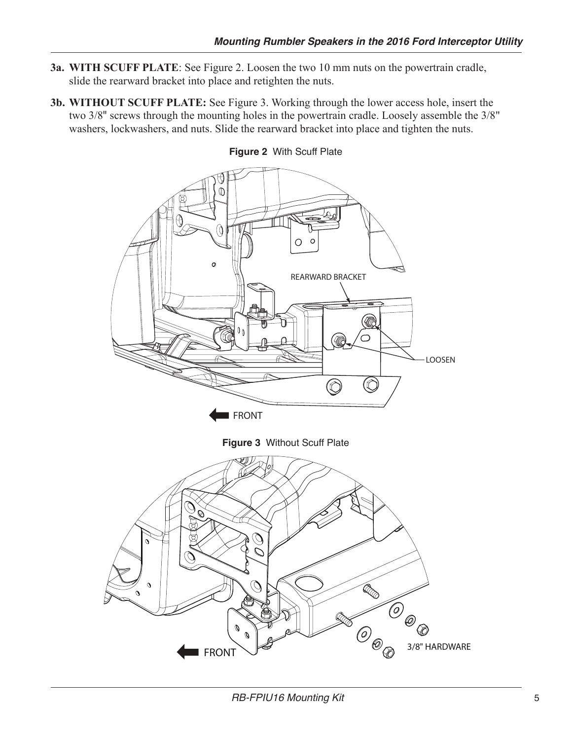- **3a. WITH SCUFF PLATE**: See Figure 2. Loosen the two 10 mm nuts on the powertrain cradle, slide the rearward bracket into place and retighten the nuts.
- **3b. WITHOUT SCUFF PLATE:** See Figure 3. Working through the lower access hole, insert the two 3/8" screws through the mounting holes in the powertrain cradle. Loosely assemble the 3/8" washers, lockwashers, and nuts. Slide the rearward bracket into place and tighten the nuts.



**Figure 2** With Scuff Plate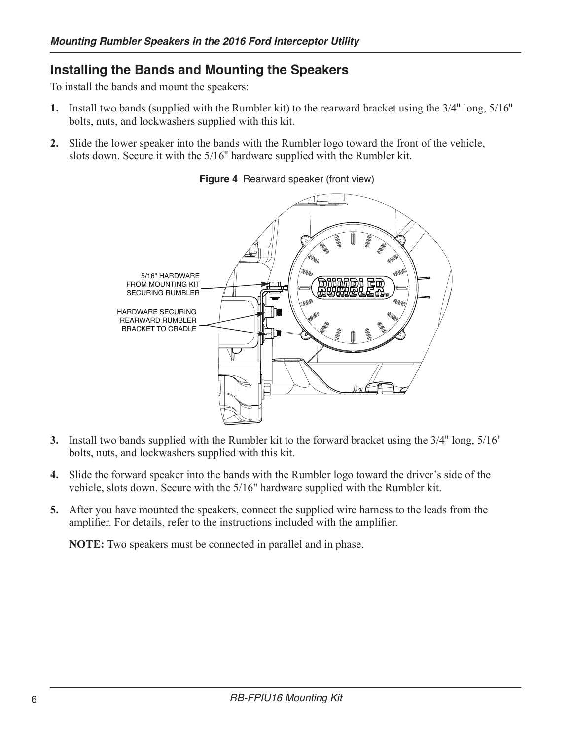## **Installing the Bands and Mounting the Speakers**

To install the bands and mount the speakers:

- **1.** Install two bands (supplied with the Rumbler kit) to the rearward bracket using the 3/4" long, 5/16" bolts, nuts, and lockwashers supplied with this kit.
- **2.** Slide the lower speaker into the bands with the Rumbler logo toward the front of the vehicle, slots down. Secure it with the 5/16" hardware supplied with the Rumbler kit.



**Figure 4** Rearward speaker (front view)

- **3.** Install two bands supplied with the Rumbler kit to the forward bracket using the 3/4" long, 5/16" bolts, nuts, and lockwashers supplied with this kit.
- **4.** Slide the forward speaker into the bands with the Rumbler logo toward the driver's side of the vehicle, slots down. Secure with the 5/16" hardware supplied with the Rumbler kit.
- **5.** After you have mounted the speakers, connect the supplied wire harness to the leads from the amplifier. For details, refer to the instructions included with the amplifier.

**NOTE:** Two speakers must be connected in parallel and in phase.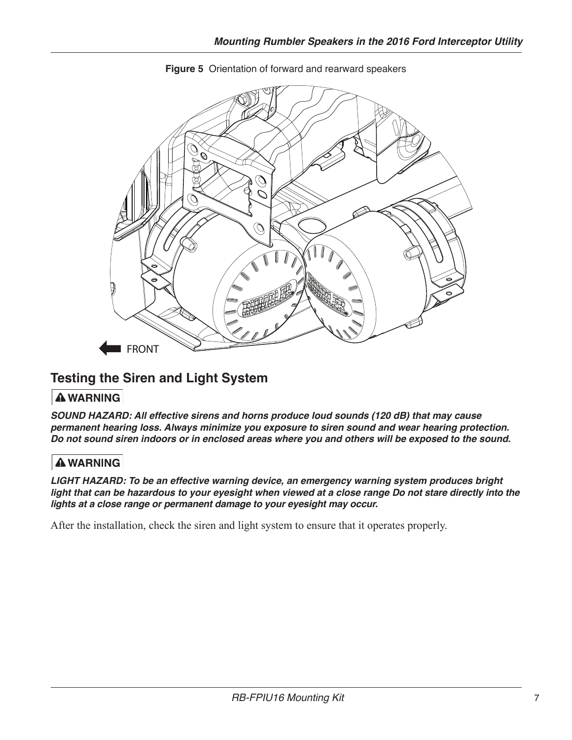

**Figure 5** Orientation of forward and rearward speakers

## **Testing the Siren and Light System**

#### **A WARNING**

**SOUND HAZARD: All effective sirens and horns produce loud sounds (120 dB) that may cause permanent hearing loss. Always minimize you exposure to siren sound and wear hearing protection. Do not sound siren indoors or in enclosed areas where you and others will be exposed to the sound.**

### **A WARNING**

**LIGHT HAZARD: To be an effective warning device, an emergency warning system produces bright light that can be hazardous to your eyesight when viewed at a close range Do not stare directly into the lights at a close range or permanent damage to your eyesight may occur.**

After the installation, check the siren and light system to ensure that it operates properly.